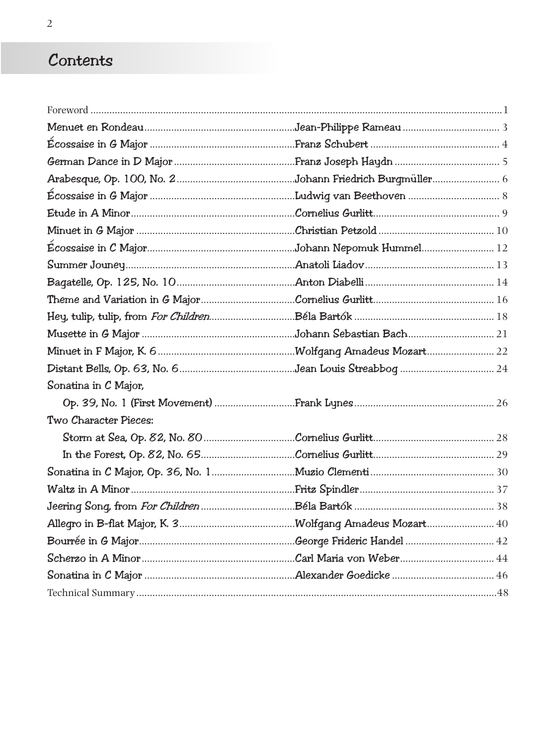## Contents

| Sonatina in C Major,  |  |
|-----------------------|--|
|                       |  |
| Two Character Pieces: |  |
|                       |  |
|                       |  |
|                       |  |
|                       |  |
|                       |  |
|                       |  |
|                       |  |
|                       |  |
|                       |  |
|                       |  |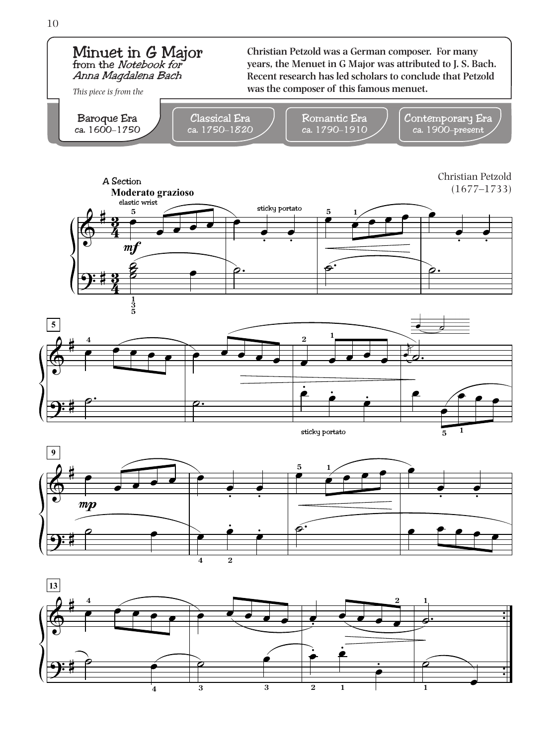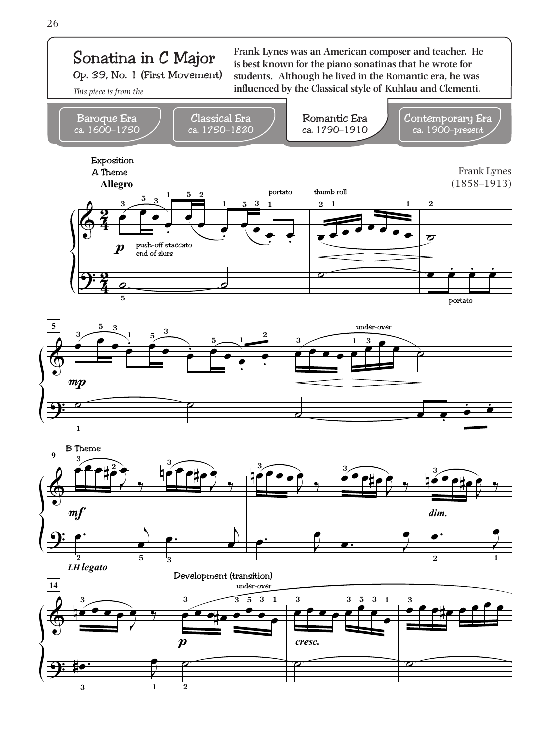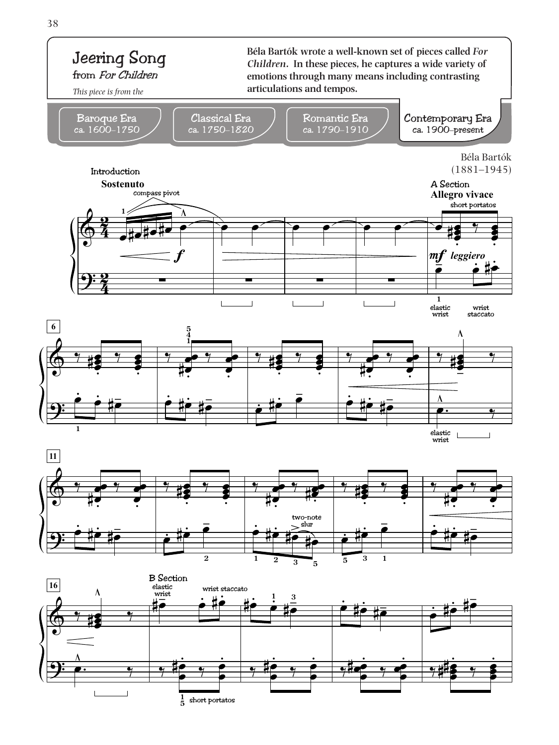